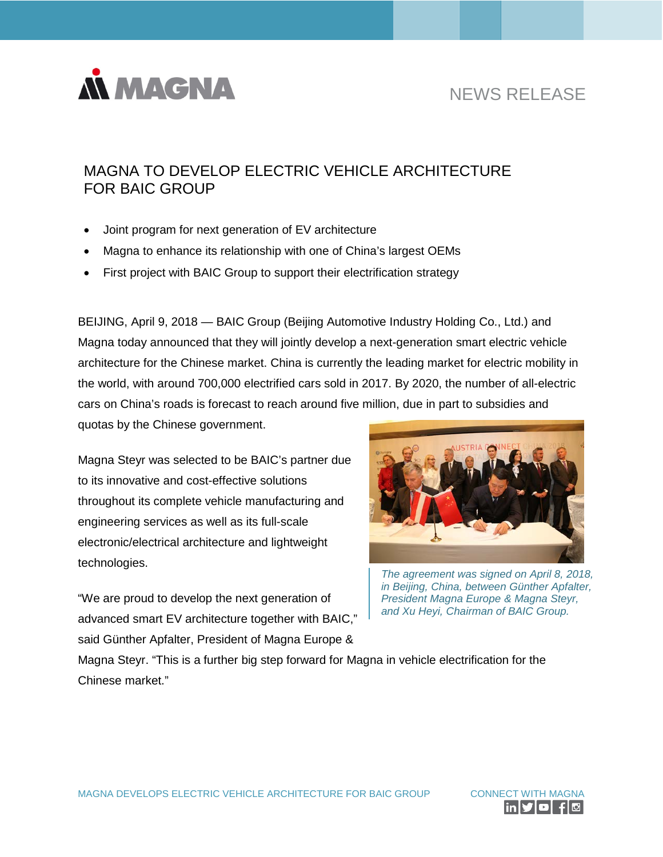

# NEWS RELEASE

# MAGNA TO DEVELOP ELECTRIC VEHICLE ARCHITECTURE FOR BAIC GROUP

- Joint program for next generation of EV architecture
- Magna to enhance its relationship with one of China's largest OEMs
- First project with BAIC Group to support their electrification strategy

BEIJING, April 9, 2018 — BAIC Group (Beijing Automotive Industry Holding Co., Ltd.) and Magna today announced that they will jointly develop a next-generation smart electric vehicle architecture for the Chinese market. China is currently the leading market for electric mobility in the world, with around 700,000 electrified cars sold in 2017. By 2020, the number of all-electric cars on China's roads is forecast to reach around five million, due in part to subsidies and quotas by the Chinese government.

Magna Steyr was selected to be BAIC's partner due to its innovative and cost-effective solutions throughout its complete vehicle manufacturing and engineering services as well as its full-scale electronic/electrical architecture and lightweight technologies.

"We are proud to develop the next generation of advanced smart EV architecture together with BAIC," said Günther Apfalter, President of Magna Europe &



*The agreement was signed on April 8, 2018, in Beijing, China, between Günther Apfalter, President Magna Europe & Magna Steyr, and Xu Heyi, Chairman of BAIC Group.*

Magna Steyr. "This is a further big step forward for Magna in vehicle electrification for the Chinese market."